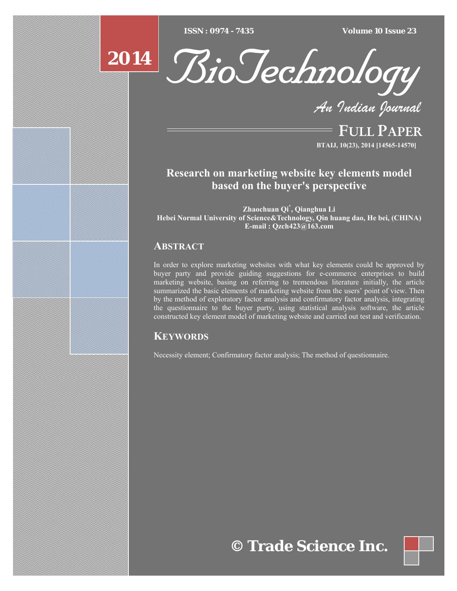$\overline{ISSN} : 0974 - 7435$ 

*ISSN : 0974 - 7435 Volume 10 Issue 23*



*An Indian Journal*

FULL PAPER **BTAIJ, 10(23), 2014 [14565-14570]**

# **Research on marketing website key elements model based on the buyer's perspective**

**Zhaochuan Qi\* , Qianghua Li Hebei Normal University of Science&Technology, Qin huang dao, He bei, (CHINA) E-mail : Qzch423@163.com** 

# **ABSTRACT**

**2014**

In order to explore marketing websites with what key elements could be approved by buyer party and provide guiding suggestions for e-commerce enterprises to build marketing website, basing on referring to tremendous literature initially, the article summarized the basic elements of marketing website from the users' point of view. Then by the method of exploratory factor analysis and confirmatory factor analysis, integrating the questionnaire to the buyer party, using statistical analysis software, the article constructed key element model of marketing website and carried out test and verification.

# **KEYWORDS**

Necessity element; Confirmatory factor analysis; The method of questionnaire.

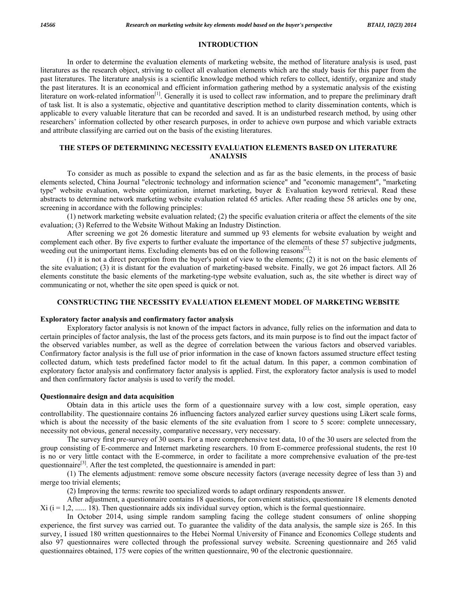#### **INTRODUCTION**

 In order to determine the evaluation elements of marketing website, the method of literature analysis is used, past literatures as the research object, striving to collect all evaluation elements which are the study basis for this paper from the past literatures. The literature analysis is a scientific knowledge method which refers to collect, identify, organize and study the past literatures. It is an economical and efficient information gathering method by a systematic analysis of the existing literature on work-related information<sup>[1]</sup>. Generally it is used to collect raw information, and to prepare the preliminary draft of task list. It is also a systematic, objective and quantitative description method to clarity dissemination contents, which is applicable to every valuable literature that can be recorded and saved. It is an undisturbed research method, by using other researchers' information collected by other research purposes, in order to achieve own purpose and which variable extracts and attribute classifying are carried out on the basis of the existing literatures.

# **THE STEPS OF DETERMINING NECESSITY EVALUATION ELEMENTS BASED ON LITERATURE ANALYSIS**

 To consider as much as possible to expand the selection and as far as the basic elements, in the process of basic elements selected, China Journal "electronic technology and information science" and "economic management", "marketing type" website evaluation, website optimization, internet marketing, buyer & Evaluation keyword retrieval. Read these abstracts to determine network marketing website evaluation related 65 articles. After reading these 58 articles one by one, screening in accordance with the following principles:

 (1) network marketing website evaluation related; (2) the specific evaluation criteria or affect the elements of the site evaluation; (3) Referred to the Website Without Making an Industry Distinction.

 After screening we got 26 domestic literature and summed up 93 elements for website evaluation by weight and complement each other. By five experts to further evaluate the importance of the elements of these 57 subjective judgments, weeding out the unimportant items. Excluding elements bas ed on the following reasons $[2]$ :

 (1) it is not a direct perception from the buyer's point of view to the elements; (2) it is not on the basic elements of the site evaluation; (3) it is distant for the evaluation of marketing-based website. Finally, we got 26 impact factors. All 26 elements constitute the basic elements of the marketing-type website evaluation, such as, the site whether is direct way of communicating or not, whether the site open speed is quick or not.

#### **CONSTRUCTING THE NECESSITY EVALUATION ELEMENT MODEL OF MARKETING WEBSITE**

#### **Exploratory factor analysis and confirmatory factor analysis**

 Exploratory factor analysis is not known of the impact factors in advance, fully relies on the information and data to certain principles of factor analysis, the last of the process gets factors, and its main purpose is to find out the impact factor of the observed variables number, as well as the degree of correlation between the various factors and observed variables. Confirmatory factor analysis is the full use of prior information in the case of known factors assumed structure effect testing collected datum, which tests predefined factor model to fit the actual datum. In this paper, a common combination of exploratory factor analysis and confirmatory factor analysis is applied. First, the exploratory factor analysis is used to model and then confirmatory factor analysis is used to verify the model.

#### **Questionnaire design and data acquisition**

 Obtain data in this article uses the form of a questionnaire survey with a low cost, simple operation, easy controllability. The questionnaire contains 26 influencing factors analyzed earlier survey questions using Likert scale forms, which is about the necessity of the basic elements of the site evaluation from 1 score to 5 score: complete unnecessary, necessity not obvious, general necessity, comparative necessary, very necessary.

 The survey first pre-survey of 30 users. For a more comprehensive test data, 10 of the 30 users are selected from the group consisting of E-commerce and Internet marketing researchers. 10 from E-commerce professional students, the rest 10 is no or very little contact with the E-commerce, in order to facilitate a more comprehensive evaluation of the pre-test questionnaire<sup>[3]</sup>. After the test completed, the questionnaire is amended in part:

 (1) The elements adjustment: remove some obscure necessity factors (average necessity degree of less than 3) and merge too trivial elements;

(2) Improving the terms: rewrite too specialized words to adapt ordinary respondents answer.

 After adjustment, a questionnaire contains 18 questions, for convenient statistics, questionnaire 18 elements denoted  $Xi$  (i = 1,2, ...... 18). Then questionnaire adds six individual survey option, which is the formal questionnaire.

 In October 2014, using simple random sampling facing the college student consumers of online shopping experience, the first survey was carried out. To guarantee the validity of the data analysis, the sample size is 265. In this survey, I issued 180 written questionnaires to the Hebei Normal University of Finance and Economics College students and also 97 questionnaires were collected through the professional survey website. Screening questionnaire and 265 valid questionnaires obtained, 175 were copies of the written questionnaire, 90 of the electronic questionnaire.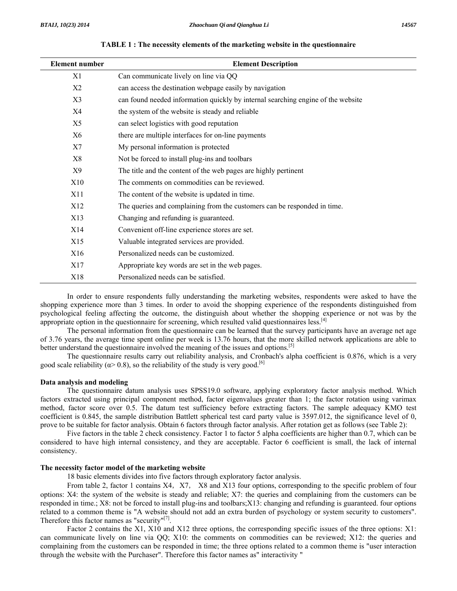| <b>Element number</b> | <b>Element Description</b>                                                       |  |  |
|-----------------------|----------------------------------------------------------------------------------|--|--|
| X1                    | Can communicate lively on line via QQ                                            |  |  |
| X2                    | can access the destination webpage easily by navigation                          |  |  |
| X3                    | can found needed information quickly by internal searching engine of the website |  |  |
| X4                    | the system of the website is steady and reliable                                 |  |  |
| X5                    | can select logistics with good reputation                                        |  |  |
| X <sub>6</sub>        | there are multiple interfaces for on-line payments                               |  |  |
| X7                    | My personal information is protected                                             |  |  |
| X8                    | Not be forced to install plug-ins and toolbars                                   |  |  |
| X9                    | The title and the content of the web pages are highly pertinent                  |  |  |
| X10                   | The comments on commodities can be reviewed.                                     |  |  |
| X11                   | The content of the website is updated in time.                                   |  |  |
| X12                   | The queries and complaining from the customers can be responded in time.         |  |  |
| X13                   | Changing and refunding is guaranteed.                                            |  |  |
| X14                   | Convenient off-line experience stores are set.                                   |  |  |
| X15                   | Valuable integrated services are provided.                                       |  |  |
| X16                   | Personalized needs can be customized.                                            |  |  |
| X17                   | Appropriate key words are set in the web pages.                                  |  |  |
| X18                   | Personalized needs can be satisfied.                                             |  |  |

**TABLE 1 : The necessity elements of the marketing website in the questionnaire** 

 In order to ensure respondents fully understanding the marketing websites, respondents were asked to have the shopping experience more than 3 times. In order to avoid the shopping experience of the respondents distinguished from psychological feeling affecting the outcome, the distinguish about whether the shopping experience or not was by the appropriate option in the questionnaire for screening, which resulted valid questionnaires less. $[4]$ 

 The personal information from the questionnaire can be learned that the survey participants have an average net age of 3.76 years, the average time spent online per week is 13.76 hours, that the more skilled network applications are able to better understand the questionnaire involved the meaning of the issues and options.<sup>[5]</sup>

 The questionnaire results carry out reliability analysis, and Cronbach's alpha coefficient is 0.876, which is a very good scale reliability ( $\alpha$  > 0.8), so the reliability of the study is very good.<sup>[6]</sup>

## **Data analysis and modeling**

 The questionnaire datum analysis uses SPSS19.0 software, applying exploratory factor analysis method. Which factors extracted using principal component method, factor eigenvalues greater than 1; the factor rotation using varimax method, factor score over 0.5. The datum test sufficiency before extracting factors. The sample adequacy KMO test coefficient is 0.845, the sample distribution Battlett spherical test card party value is 3597.012, the significance level of 0, prove to be suitable for factor analysis. Obtain 6 factors through factor analysis. After rotation get as follows (see Table 2):

 Five factors in the table 2 check consistency. Factor 1 to factor 5 alpha coefficients are higher than 0.7, which can be considered to have high internal consistency, and they are acceptable. Factor 6 coefficient is small, the lack of internal consistency.

#### **The necessity factor model of the marketing website**

18 basic elements divides into five factors through exploratory factor analysis.

From table 2, factor 1 contains X4, X7, X8 and X13 four options, corresponding to the specific problem of four options: X4: the system of the website is steady and reliable; X7: the queries and complaining from the customers can be responded in time.; X8: not be forced to install plug-ins and toolbars;X13: changing and refunding is guaranteed. four options related to a common theme is "A website should not add an extra burden of psychology or system security to customers". Therefore this factor names as "security"[7].

Factor 2 contains the X1, X10 and X12 three options, the corresponding specific issues of the three options: X1: can communicate lively on line via QQ; X10: the comments on commodities can be reviewed; X12: the queries and complaining from the customers can be responded in time; the three options related to a common theme is "user interaction through the website with the Purchaser". Therefore this factor names as" interactivity "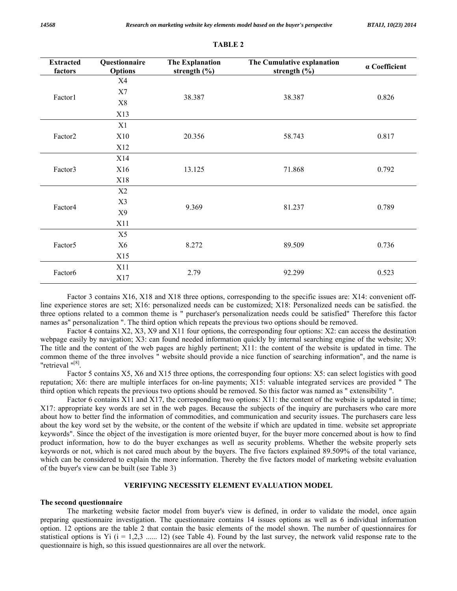| <b>Extracted</b><br>factors | Questionnaire<br><b>Options</b> | <b>The Explanation</b><br>The Cumulative explanation<br>strength $(\% )$<br>strength $(\% )$ |        | a Coefficient |
|-----------------------------|---------------------------------|----------------------------------------------------------------------------------------------|--------|---------------|
| Factor1                     | X4                              |                                                                                              |        |               |
|                             | X7                              |                                                                                              | 38.387 | 0.826         |
|                             | $\rm X8$                        | 38.387                                                                                       |        |               |
|                             | X13                             |                                                                                              |        |               |
| Factor2                     | X1                              |                                                                                              |        |               |
|                             | X10                             | 20.356                                                                                       | 58.743 | 0.817         |
|                             | X12                             |                                                                                              |        |               |
| Factor3                     | X14                             |                                                                                              |        |               |
|                             | X16                             | 13.125                                                                                       | 71.868 | 0.792         |
|                             | X18                             |                                                                                              |        |               |
| Factor4                     | X2                              |                                                                                              |        |               |
|                             | X3                              | 9.369                                                                                        | 81.237 | 0.789         |
|                             | X9                              |                                                                                              |        |               |
|                             | X11                             |                                                                                              |        |               |
| Factor <sub>5</sub>         | X5                              |                                                                                              |        |               |
|                             | X <sub>6</sub>                  | 8.272                                                                                        | 89.509 | 0.736         |
|                             | X15                             |                                                                                              |        |               |
| Factor <sub>6</sub>         | X11                             | 2.79                                                                                         | 92.299 | 0.523         |
|                             | X17                             |                                                                                              |        |               |

**TABLE 2** 

 Factor 3 contains X16, X18 and X18 three options, corresponding to the specific issues are: X14: convenient offline experience stores are set; X16: personalized needs can be customized; X18: Personalized needs can be satisfied. the three options related to a common theme is " purchaser's personalization needs could be satisfied" Therefore this factor names as" personalization ". The third option which repeats the previous two options should be removed.

 Factor 4 contains X2, X3, X9 and X11 four options, the corresponding four options: X2: can access the destination webpage easily by navigation; X3: can found needed information quickly by internal searching engine of the website; X9: The title and the content of the web pages are highly pertinent; X11: the content of the website is updated in time. The common theme of the three involves " website should provide a nice function of searching information", and the name is "retrieval "[8].

 Factor 5 contains X5, X6 and X15 three options, the corresponding four options: X5: can select logistics with good reputation; X6: there are multiple interfaces for on-line payments; X15: valuable integrated services are provided " The third option which repeats the previous two options should be removed. So this factor was named as " extensibility ".

 Factor 6 contains X11 and X17, the corresponding two options: X11: the content of the website is updated in time; X17: appropriate key words are set in the web pages. Because the subjects of the inquiry are purchasers who care more about how to better find the information of commodities, and communication and security issues. The purchasers care less about the key word set by the website, or the content of the website if which are updated in time. website set appropriate keywords". Since the object of the investigation is more oriented buyer, for the buyer more concerned about is how to find product information, how to do the buyer exchanges as well as security problems. Whether the website properly sets keywords or not, which is not cared much about by the buyers. The five factors explained 89.509% of the total variance, which can be considered to explain the more information. Thereby the five factors model of marketing website evaluation of the buyer's view can be built (see Table 3)

## **VERIFYING NECESSITY ELEMENT EVALUATION MODEL**

#### **The second questionnaire**

 The marketing website factor model from buyer's view is defined, in order to validate the model, once again preparing questionnaire investigation. The questionnaire contains 14 issues options as well as 6 individual information option. 12 options are the table 2 that contain the basic elements of the model shown. The number of questionnaires for statistical options is Yi  $(i = 1,2,3 \ldots 12)$  (see Table 4). Found by the last survey, the network valid response rate to the questionnaire is high, so this issued questionnaires are all over the network.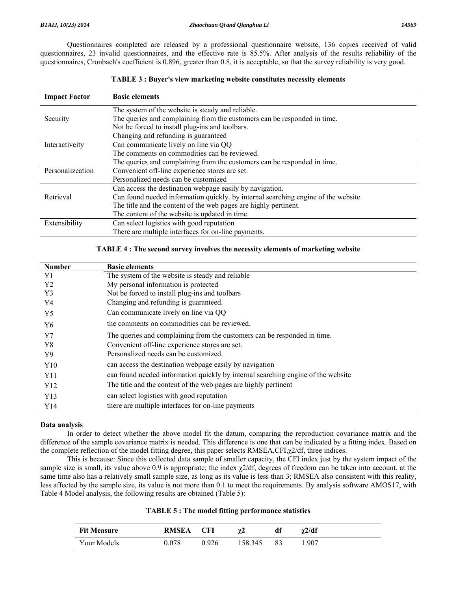Questionnaires completed are released by a professional questionnaire website, 136 copies received of valid questionnaires, 23 invalid questionnaires, and the effective rate is 85.5%. After analysis of the results reliability of the questionnaires, Cronbach's coefficient is 0.896, greater than 0.8, it is acceptable, so that the survey reliability is very good.

| <b>Impact Factor</b> | <b>Basic elements</b>                                                             |
|----------------------|-----------------------------------------------------------------------------------|
|                      | The system of the website is steady and reliable.                                 |
| Security             | The queries and complaining from the customers can be responded in time.          |
|                      | Not be forced to install plug-ins and toolbars.                                   |
|                      | Changing and refunding is guaranteed                                              |
| Interactiveity       | Can communicate lively on line via QQ                                             |
|                      | The comments on commodities can be reviewed.                                      |
|                      | The queries and complaining from the customers can be responded in time.          |
| Personalizeation     | Convenient off-line experience stores are set.                                    |
|                      | Personalized needs can be customized                                              |
|                      | Can access the destination webpage easily by navigation.                          |
| Retrieval            | Can found needed information quickly, by internal searching engine of the website |
|                      | The title and the content of the web pages are highly pertinent.                  |
|                      | The content of the website is updated in time.                                    |
| Extensibility        | Can select logistics with good reputation                                         |
|                      | There are multiple interfaces for on-line payments.                               |

## **TABLE 3 : Buyer's view marketing website constitutes necessity elements**

#### **TABLE 4 : The second survey involves the necessity elements of marketing website**

| <b>Number</b>  | <b>Basic elements</b>                                                            |
|----------------|----------------------------------------------------------------------------------|
| Y1             | The system of the website is steady and reliable                                 |
| Y <sub>2</sub> | My personal information is protected                                             |
| Y3             | Not be forced to install plug-ins and toolbars                                   |
| Y4             | Changing and refunding is guaranteed.                                            |
| Y <sub>5</sub> | Can communicate lively on line via QQ                                            |
| Y6             | the comments on commodities can be reviewed.                                     |
| Y7             | The queries and complaining from the customers can be responded in time.         |
| Y8             | Convenient off-line experience stores are set.                                   |
| Y9             | Personalized needs can be customized.                                            |
| Y10            | can access the destination webpage easily by navigation                          |
| Y11            | can found needed information quickly by internal searching engine of the website |
| Y12            | The title and the content of the web pages are highly pertinent                  |
| Y13            | can select logistics with good reputation                                        |
| Y14            | there are multiple interfaces for on-line payments                               |

#### **Data analysis**

 In order to detect whether the above model fit the datum, comparing the reproduction covariance matrix and the difference of the sample covariance matrix is needed. This difference is one that can be indicated by a fitting index. Based on the complete reflection of the model fitting degree, this paper selects RMSEA,CFI,χ2/df, three indices.

 This is because: Since this collected data sample of smaller capacity, the CFI index just by the system impact of the sample size is small, its value above 0.9 is appropriate; the index χ2/df, degrees of freedom can be taken into account, at the same time also has a relatively small sample size, as long as its value is less than 3; RMSEA also consistent with this reality, less affected by the sample size, its value is not more than 0.1 to meet the requirements. By analysis software AMOS17, with Table 4 Model analysis, the following results are obtained (Table 5):

| <b>Fit Measure</b> | <b>RMSEA</b> | <b>CFI</b> | $\chi$ 2 | df | $\gamma$ 2/df |
|--------------------|--------------|------------|----------|----|---------------|
| Your Models        | 0.078        | 0.926      | 158.345  | 83 | .907          |

| <b>TABLE 5: The model fitting performance statistics</b> |  |  |
|----------------------------------------------------------|--|--|
|----------------------------------------------------------|--|--|